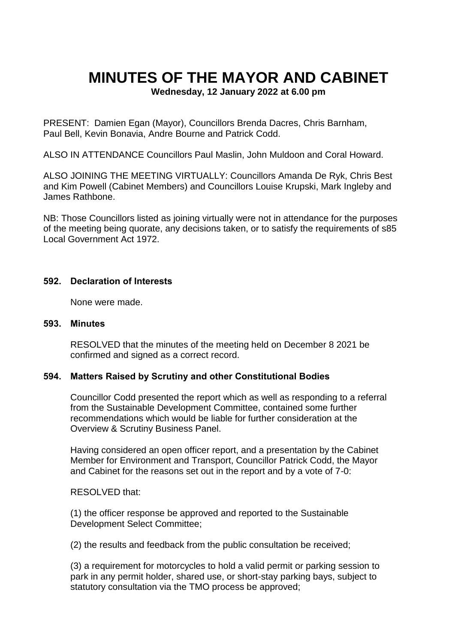# **MINUTES OF THE MAYOR AND CABINET**

**Wednesday, 12 January 2022 at 6.00 pm**

PRESENT: Damien Egan (Mayor), Councillors Brenda Dacres, Chris Barnham, Paul Bell, Kevin Bonavia, Andre Bourne and Patrick Codd.

ALSO IN ATTENDANCE Councillors Paul Maslin, John Muldoon and Coral Howard.

ALSO JOINING THE MEETING VIRTUALLY: Councillors Amanda De Ryk, Chris Best and Kim Powell (Cabinet Members) and Councillors Louise Krupski, Mark Ingleby and James Rathbone.

NB: Those Councillors listed as joining virtually were not in attendance for the purposes of the meeting being quorate, any decisions taken, or to satisfy the requirements of s85 Local Government Act 1972.

#### **592. Declaration of Interests**

None were made.

#### **593. Minutes**

RESOLVED that the minutes of the meeting held on December 8 2021 be confirmed and signed as a correct record.

#### **594. Matters Raised by Scrutiny and other Constitutional Bodies**

Councillor Codd presented the report which as well as responding to a referral from the Sustainable Development Committee, contained some further recommendations which would be liable for further consideration at the Overview & Scrutiny Business Panel.

Having considered an open officer report, and a presentation by the Cabinet Member for Environment and Transport, Councillor Patrick Codd, the Mayor and Cabinet for the reasons set out in the report and by a vote of 7-0:

RESOLVED that:

(1) the officer response be approved and reported to the Sustainable Development Select Committee;

(2) the results and feedback from the public consultation be received;

(3) a requirement for motorcycles to hold a valid permit or parking session to park in any permit holder, shared use, or short-stay parking bays, subject to statutory consultation via the TMO process be approved;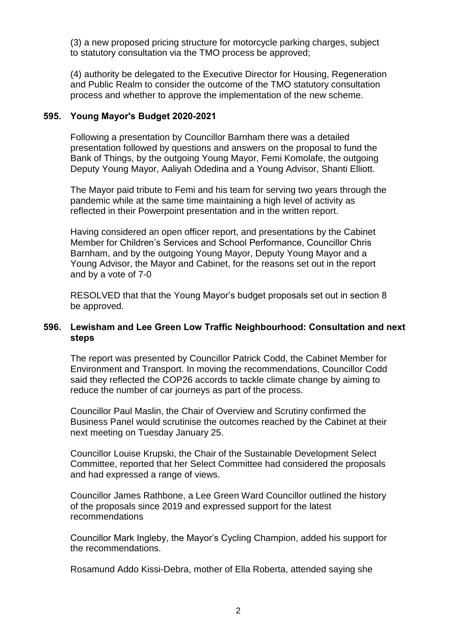(3) a new proposed pricing structure for motorcycle parking charges, subject to statutory consultation via the TMO process be approved;

(4) authority be delegated to the Executive Director for Housing, Regeneration and Public Realm to consider the outcome of the TMO statutory consultation process and whether to approve the implementation of the new scheme.

#### **595. Young Mayor's Budget 2020-2021**

Following a presentation by Councillor Barnham there was a detailed presentation followed by questions and answers on the proposal to fund the Bank of Things, by the outgoing Young Mayor, Femi Komolafe, the outgoing Deputy Young Mayor, Aaliyah Odedina and a Young Advisor, Shanti Elliott.

The Mayor paid tribute to Femi and his team for serving two years through the pandemic while at the same time maintaining a high level of activity as reflected in their Powerpoint presentation and in the written report.

Having considered an open officer report, and presentations by the Cabinet Member for Children's Services and School Performance, Councillor Chris Barnham, and by the outgoing Young Mayor, Deputy Young Mayor and a Young Advisor, the Mayor and Cabinet, for the reasons set out in the report and by a vote of 7-0

RESOLVED that that the Young Mayor's budget proposals set out in section 8 be approved.

#### **596. Lewisham and Lee Green Low Traffic Neighbourhood: Consultation and next steps**

The report was presented by Councillor Patrick Codd, the Cabinet Member for Environment and Transport. In moving the recommendations, Councillor Codd said they reflected the COP26 accords to tackle climate change by aiming to reduce the number of car journeys as part of the process.

Councillor Paul Maslin, the Chair of Overview and Scrutiny confirmed the Business Panel would scrutinise the outcomes reached by the Cabinet at their next meeting on Tuesday January 25.

Councillor Louise Krupski, the Chair of the Sustainable Development Select Committee, reported that her Select Committee had considered the proposals and had expressed a range of views.

Councillor James Rathbone, a Lee Green Ward Councillor outlined the history of the proposals since 2019 and expressed support for the latest recommendations

Councillor Mark Ingleby, the Mayor's Cycling Champion, added his support for the recommendations.

Rosamund Addo Kissi-Debra, mother of Ella Roberta, attended saying she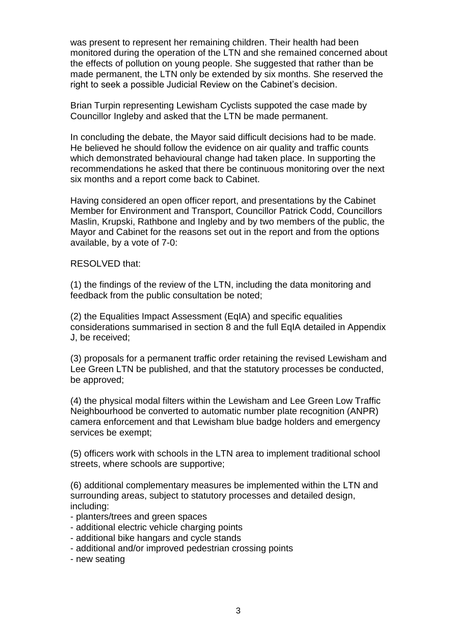was present to represent her remaining children. Their health had been monitored during the operation of the LTN and she remained concerned about the effects of pollution on young people. She suggested that rather than be made permanent, the LTN only be extended by six months. She reserved the right to seek a possible Judicial Review on the Cabinet's decision.

Brian Turpin representing Lewisham Cyclists suppoted the case made by Councillor Ingleby and asked that the LTN be made permanent.

In concluding the debate, the Mayor said difficult decisions had to be made. He believed he should follow the evidence on air quality and traffic counts which demonstrated behavioural change had taken place. In supporting the recommendations he asked that there be continuous monitoring over the next six months and a report come back to Cabinet.

Having considered an open officer report, and presentations by the Cabinet Member for Environment and Transport, Councillor Patrick Codd, Councillors Maslin, Krupski, Rathbone and Ingleby and by two members of the public, the Mayor and Cabinet for the reasons set out in the report and from the options available, by a vote of 7-0:

#### RESOLVED that:

(1) the findings of the review of the LTN, including the data monitoring and feedback from the public consultation be noted;

(2) the Equalities Impact Assessment (EqIA) and specific equalities considerations summarised in section 8 and the full EqIA detailed in Appendix J, be received;

(3) proposals for a permanent traffic order retaining the revised Lewisham and Lee Green LTN be published, and that the statutory processes be conducted, be approved;

(4) the physical modal filters within the Lewisham and Lee Green Low Traffic Neighbourhood be converted to automatic number plate recognition (ANPR) camera enforcement and that Lewisham blue badge holders and emergency services be exempt;

(5) officers work with schools in the LTN area to implement traditional school streets, where schools are supportive;

(6) additional complementary measures be implemented within the LTN and surrounding areas, subject to statutory processes and detailed design, including:

- planters/trees and green spaces
- additional electric vehicle charging points
- additional bike hangars and cycle stands
- additional and/or improved pedestrian crossing points
- new seating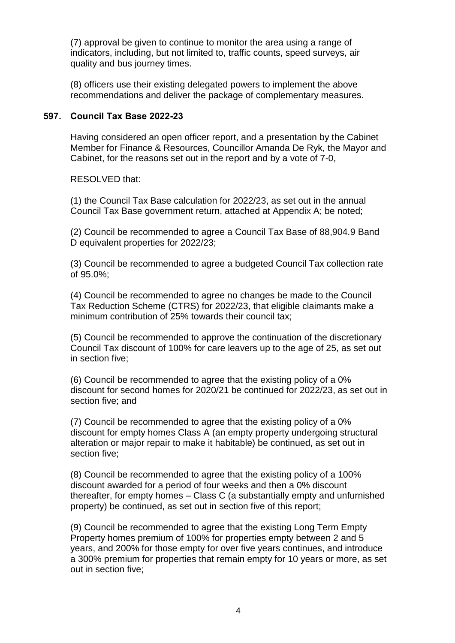(7) approval be given to continue to monitor the area using a range of indicators, including, but not limited to, traffic counts, speed surveys, air quality and bus journey times.

(8) officers use their existing delegated powers to implement the above recommendations and deliver the package of complementary measures.

### **597. Council Tax Base 2022-23**

Having considered an open officer report, and a presentation by the Cabinet Member for Finance & Resources, Councillor Amanda De Ryk, the Mayor and Cabinet, for the reasons set out in the report and by a vote of 7-0,

RESOLVED that:

(1) the Council Tax Base calculation for 2022/23, as set out in the annual Council Tax Base government return, attached at Appendix A; be noted;

(2) Council be recommended to agree a Council Tax Base of 88,904.9 Band D equivalent properties for 2022/23;

(3) Council be recommended to agree a budgeted Council Tax collection rate of 95.0%;

(4) Council be recommended to agree no changes be made to the Council Tax Reduction Scheme (CTRS) for 2022/23, that eligible claimants make a minimum contribution of 25% towards their council tax;

(5) Council be recommended to approve the continuation of the discretionary Council Tax discount of 100% for care leavers up to the age of 25, as set out in section five;

(6) Council be recommended to agree that the existing policy of a 0% discount for second homes for 2020/21 be continued for 2022/23, as set out in section five; and

(7) Council be recommended to agree that the existing policy of a 0% discount for empty homes Class A (an empty property undergoing structural alteration or major repair to make it habitable) be continued, as set out in section five;

(8) Council be recommended to agree that the existing policy of a 100% discount awarded for a period of four weeks and then a 0% discount thereafter, for empty homes – Class C (a substantially empty and unfurnished property) be continued, as set out in section five of this report;

(9) Council be recommended to agree that the existing Long Term Empty Property homes premium of 100% for properties empty between 2 and 5 years, and 200% for those empty for over five years continues, and introduce a 300% premium for properties that remain empty for 10 years or more, as set out in section five;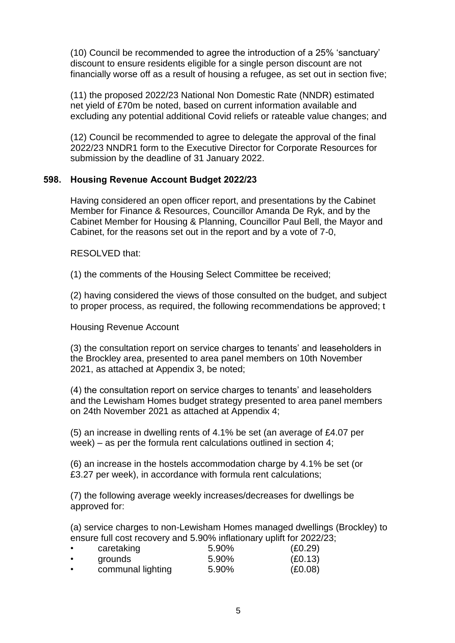(10) Council be recommended to agree the introduction of a 25% 'sanctuary' discount to ensure residents eligible for a single person discount are not financially worse off as a result of housing a refugee, as set out in section five;

(11) the proposed 2022/23 National Non Domestic Rate (NNDR) estimated net yield of £70m be noted, based on current information available and excluding any potential additional Covid reliefs or rateable value changes; and

(12) Council be recommended to agree to delegate the approval of the final 2022/23 NNDR1 form to the Executive Director for Corporate Resources for submission by the deadline of 31 January 2022.

#### **598. Housing Revenue Account Budget 2022/23**

Having considered an open officer report, and presentations by the Cabinet Member for Finance & Resources, Councillor Amanda De Ryk, and by the Cabinet Member for Housing & Planning, Councillor Paul Bell, the Mayor and Cabinet, for the reasons set out in the report and by a vote of 7-0,

RESOLVED that:

(1) the comments of the Housing Select Committee be received;

(2) having considered the views of those consulted on the budget, and subject to proper process, as required, the following recommendations be approved; t

Housing Revenue Account

(3) the consultation report on service charges to tenants' and leaseholders in the Brockley area, presented to area panel members on 10th November 2021, as attached at Appendix 3, be noted;

(4) the consultation report on service charges to tenants' and leaseholders and the Lewisham Homes budget strategy presented to area panel members on 24th November 2021 as attached at Appendix 4;

(5) an increase in dwelling rents of 4.1% be set (an average of £4.07 per week) – as per the formula rent calculations outlined in section 4;

(6) an increase in the hostels accommodation charge by 4.1% be set (or £3.27 per week), in accordance with formula rent calculations;

(7) the following average weekly increases/decreases for dwellings be approved for:

(a) service charges to non-Lewisham Homes managed dwellings (Brockley) to ensure full cost recovery and 5.90% inflationary uplift for 2022/23;

|           | caretaking        | 5.90% | (E0.29) |
|-----------|-------------------|-------|---------|
| $\bullet$ | grounds           | 5.90% | (E0.13) |
| $\bullet$ | communal lighting | 5.90% | (E0.08) |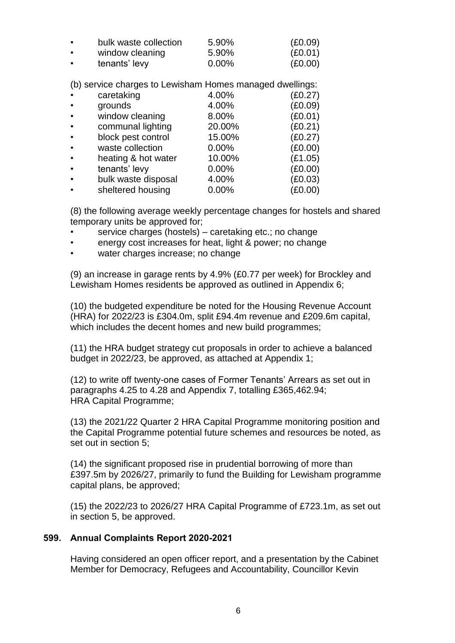| $\bullet$ | bulk waste collection | 5.90%    | (E0.09) |
|-----------|-----------------------|----------|---------|
|           | window cleaning       | 5.90%    | (£0.01) |
| $\bullet$ | tenants' levy         | $0.00\%$ | (E0.00) |

(b) service charges to Lewisham Homes managed dwellings:

| $\bullet$ | caretaking          | 4.00%  | (E0.27) |
|-----------|---------------------|--------|---------|
| $\bullet$ | grounds             | 4.00%  | (E0.09) |
| $\bullet$ | window cleaning     | 8.00%  | (E0.01) |
| $\bullet$ | communal lighting   | 20.00% | (E0.21) |
| $\bullet$ | block pest control  | 15.00% | (E0.27) |
| $\bullet$ | waste collection    | 0.00%  | (E0.00) |
| $\bullet$ | heating & hot water | 10.00% | (E1.05) |
|           | tenants' levy       | 0.00%  | (E0.00) |
|           | bulk waste disposal | 4.00%  | (E0.03) |
|           | sheltered housing   | 0.00%  | (£0.00) |

(8) the following average weekly percentage changes for hostels and shared temporary units be approved for;

- service charges (hostels) caretaking etc.; no change
- energy cost increases for heat, light & power; no change
- water charges increase; no change

(9) an increase in garage rents by 4.9% (£0.77 per week) for Brockley and Lewisham Homes residents be approved as outlined in Appendix 6;

(10) the budgeted expenditure be noted for the Housing Revenue Account (HRA) for 2022/23 is £304.0m, split £94.4m revenue and £209.6m capital, which includes the decent homes and new build programmes;

(11) the HRA budget strategy cut proposals in order to achieve a balanced budget in 2022/23, be approved, as attached at Appendix 1;

(12) to write off twenty-one cases of Former Tenants' Arrears as set out in paragraphs 4.25 to 4.28 and Appendix 7, totalling £365,462.94; HRA Capital Programme;

(13) the 2021/22 Quarter 2 HRA Capital Programme monitoring position and the Capital Programme potential future schemes and resources be noted, as set out in section 5;

(14) the significant proposed rise in prudential borrowing of more than £397.5m by 2026/27, primarily to fund the Building for Lewisham programme capital plans, be approved;

(15) the 2022/23 to 2026/27 HRA Capital Programme of £723.1m, as set out in section 5, be approved.

#### **599. Annual Complaints Report 2020-2021**

Having considered an open officer report, and a presentation by the Cabinet Member for Democracy, Refugees and Accountability, Councillor Kevin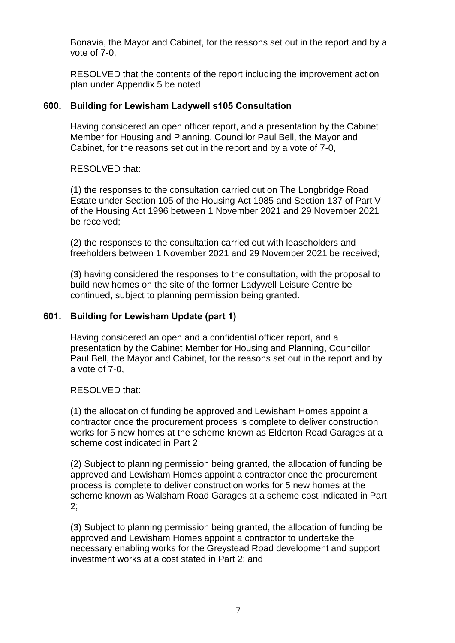Bonavia, the Mayor and Cabinet, for the reasons set out in the report and by a vote of 7-0,

RESOLVED that the contents of the report including the improvement action plan under Appendix 5 be noted

## **600. Building for Lewisham Ladywell s105 Consultation**

Having considered an open officer report, and a presentation by the Cabinet Member for Housing and Planning, Councillor Paul Bell, the Mayor and Cabinet, for the reasons set out in the report and by a vote of 7-0,

RESOLVED that:

(1) the responses to the consultation carried out on The Longbridge Road Estate under Section 105 of the Housing Act 1985 and Section 137 of Part V of the Housing Act 1996 between 1 November 2021 and 29 November 2021 be received;

(2) the responses to the consultation carried out with leaseholders and freeholders between 1 November 2021 and 29 November 2021 be received;

(3) having considered the responses to the consultation, with the proposal to build new homes on the site of the former Ladywell Leisure Centre be continued, subject to planning permission being granted.

## **601. Building for Lewisham Update (part 1)**

Having considered an open and a confidential officer report, and a presentation by the Cabinet Member for Housing and Planning, Councillor Paul Bell, the Mayor and Cabinet, for the reasons set out in the report and by a vote of 7-0,

RESOLVED that:

(1) the allocation of funding be approved and Lewisham Homes appoint a contractor once the procurement process is complete to deliver construction works for 5 new homes at the scheme known as Elderton Road Garages at a scheme cost indicated in Part 2;

(2) Subject to planning permission being granted, the allocation of funding be approved and Lewisham Homes appoint a contractor once the procurement process is complete to deliver construction works for 5 new homes at the scheme known as Walsham Road Garages at a scheme cost indicated in Part 2;

(3) Subject to planning permission being granted, the allocation of funding be approved and Lewisham Homes appoint a contractor to undertake the necessary enabling works for the Greystead Road development and support investment works at a cost stated in Part 2; and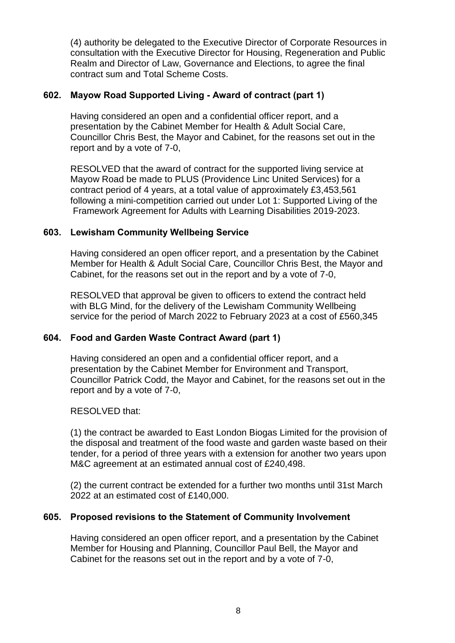(4) authority be delegated to the Executive Director of Corporate Resources in consultation with the Executive Director for Housing, Regeneration and Public Realm and Director of Law, Governance and Elections, to agree the final contract sum and Total Scheme Costs.

### **602. Mayow Road Supported Living - Award of contract (part 1)**

Having considered an open and a confidential officer report, and a presentation by the Cabinet Member for Health & Adult Social Care, Councillor Chris Best, the Mayor and Cabinet, for the reasons set out in the report and by a vote of 7-0,

RESOLVED that the award of contract for the supported living service at Mayow Road be made to PLUS (Providence Linc United Services) for a contract period of 4 years, at a total value of approximately £3,453,561 following a mini-competition carried out under Lot 1: Supported Living of the Framework Agreement for Adults with Learning Disabilities 2019-2023.

## **603. Lewisham Community Wellbeing Service**

Having considered an open officer report, and a presentation by the Cabinet Member for Health & Adult Social Care, Councillor Chris Best, the Mayor and Cabinet, for the reasons set out in the report and by a vote of 7-0,

RESOLVED that approval be given to officers to extend the contract held with BLG Mind, for the delivery of the Lewisham Community Wellbeing service for the period of March 2022 to February 2023 at a cost of £560,345

## **604. Food and Garden Waste Contract Award (part 1)**

Having considered an open and a confidential officer report, and a presentation by the Cabinet Member for Environment and Transport, Councillor Patrick Codd, the Mayor and Cabinet, for the reasons set out in the report and by a vote of 7-0,

#### RESOLVED that:

(1) the contract be awarded to East London Biogas Limited for the provision of the disposal and treatment of the food waste and garden waste based on their tender, for a period of three years with a extension for another two years upon M&C agreement at an estimated annual cost of £240,498.

(2) the current contract be extended for a further two months until 31st March 2022 at an estimated cost of £140,000.

## **605. Proposed revisions to the Statement of Community Involvement**

Having considered an open officer report, and a presentation by the Cabinet Member for Housing and Planning, Councillor Paul Bell, the Mayor and Cabinet for the reasons set out in the report and by a vote of 7-0,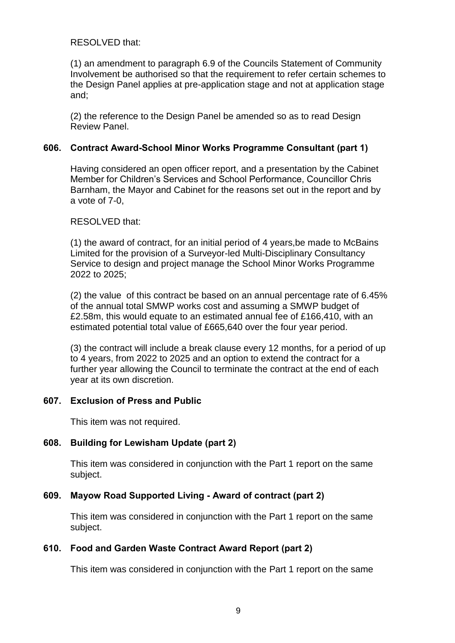RESOLVED that:

(1) an amendment to paragraph 6.9 of the Councils Statement of Community Involvement be authorised so that the requirement to refer certain schemes to the Design Panel applies at pre-application stage and not at application stage and;

(2) the reference to the Design Panel be amended so as to read Design Review Panel.

### **606. Contract Award-School Minor Works Programme Consultant (part 1)**

Having considered an open officer report, and a presentation by the Cabinet Member for Children's Services and School Performance, Councillor Chris Barnham, the Mayor and Cabinet for the reasons set out in the report and by a vote of 7-0,

#### RESOLVED that:

(1) the award of contract, for an initial period of 4 years,be made to McBains Limited for the provision of a Surveyor-led Multi-Disciplinary Consultancy Service to design and project manage the School Minor Works Programme 2022 to 2025;

(2) the value of this contract be based on an annual percentage rate of 6.45% of the annual total SMWP works cost and assuming a SMWP budget of £2.58m, this would equate to an estimated annual fee of £166,410, with an estimated potential total value of £665,640 over the four year period.

(3) the contract will include a break clause every 12 months, for a period of up to 4 years, from 2022 to 2025 and an option to extend the contract for a further year allowing the Council to terminate the contract at the end of each year at its own discretion.

#### **607. Exclusion of Press and Public**

This item was not required.

#### **608. Building for Lewisham Update (part 2)**

This item was considered in conjunction with the Part 1 report on the same subject.

#### **609. Mayow Road Supported Living - Award of contract (part 2)**

This item was considered in conjunction with the Part 1 report on the same subject.

#### **610. Food and Garden Waste Contract Award Report (part 2)**

This item was considered in conjunction with the Part 1 report on the same